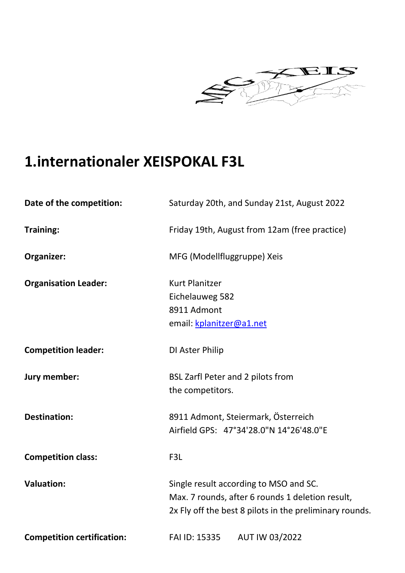

## **1.internationaler XEISPOKAL F3L**

| Date of the competition:          | Saturday 20th, and Sunday 21st, August 2022             |
|-----------------------------------|---------------------------------------------------------|
| <b>Training:</b>                  | Friday 19th, August from 12am (free practice)           |
| Organizer:                        | MFG (Modellfluggruppe) Xeis                             |
| <b>Organisation Leader:</b>       | <b>Kurt Planitzer</b>                                   |
|                                   | Eichelauweg 582                                         |
|                                   | 8911 Admont                                             |
|                                   | email: kplanitzer@a1.net                                |
| <b>Competition leader:</b>        | DI Aster Philip                                         |
| Jury member:                      | BSL Zarfl Peter and 2 pilots from                       |
|                                   | the competitors.                                        |
| <b>Destination:</b>               | 8911 Admont, Steiermark, Österreich                     |
|                                   | Airfield GPS: 47°34'28.0"N 14°26'48.0"E                 |
| <b>Competition class:</b>         | F3L                                                     |
| <b>Valuation:</b>                 | Single result according to MSO and SC.                  |
|                                   | Max. 7 rounds, after 6 rounds 1 deletion result,        |
|                                   | 2x Fly off the best 8 pilots in the preliminary rounds. |
| <b>Competition certification:</b> | AUT IW 03/2022<br>FAI ID: 15335                         |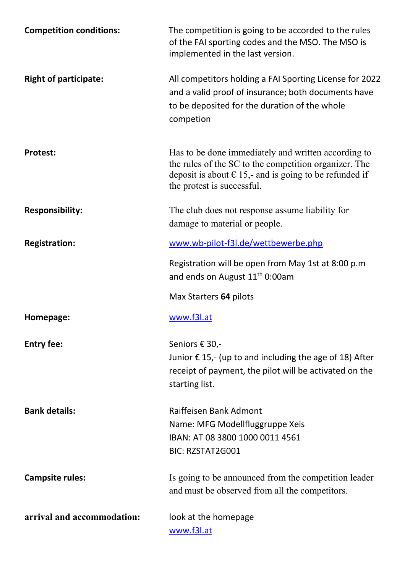| <b>Competition conditions:</b> | The competition is going to be accorded to the rules<br>of the FAI sporting codes and the MSO. The MSO is<br>implemented in the last version.                                                                 |
|--------------------------------|---------------------------------------------------------------------------------------------------------------------------------------------------------------------------------------------------------------|
| <b>Right of participate:</b>   | All competitors holding a FAI Sporting License for 2022<br>and a valid proof of insurance; both documents have<br>to be deposited for the duration of the whole<br>competion                                  |
| <b>Protest:</b>                | Has to be done immediately and written according to<br>the rules of the SC to the competition organizer. The<br>deposit is about $\epsilon$ 15,- and is going to be refunded if<br>the protest is successful. |
| <b>Responsibility:</b>         | The club does not response assume liability for<br>damage to material or people.                                                                                                                              |
| <b>Registration:</b>           | www.wb-pilot-f3l.de/wettbewerbe.php                                                                                                                                                                           |
|                                | Registration will be open from May 1st at 8:00 p.m<br>and ends on August 11 <sup>th</sup> 0:00am                                                                                                              |
|                                | Max Starters 64 pilots                                                                                                                                                                                        |
| Homepage:                      | www.f3l.at                                                                                                                                                                                                    |
| <b>Entry fee:</b>              | Seniors € 30,-<br>Junior $\epsilon$ 15,- (up to and including the age of 18) After<br>receipt of payment, the pilot will be activated on the<br>starting list.                                                |
| <b>Bank details:</b>           | Raiffeisen Bank Admont<br>Name: MFG Modellfluggruppe Xeis<br>IBAN: AT 08 3800 1000 0011 4561<br><b>BIC: RZSTAT2G001</b>                                                                                       |
| <b>Campsite rules:</b>         | Is going to be announced from the competition leader<br>and must be observed from all the competitors.                                                                                                        |
| arrival and accommodation:     | look at the homepage<br>www.f3l.at                                                                                                                                                                            |